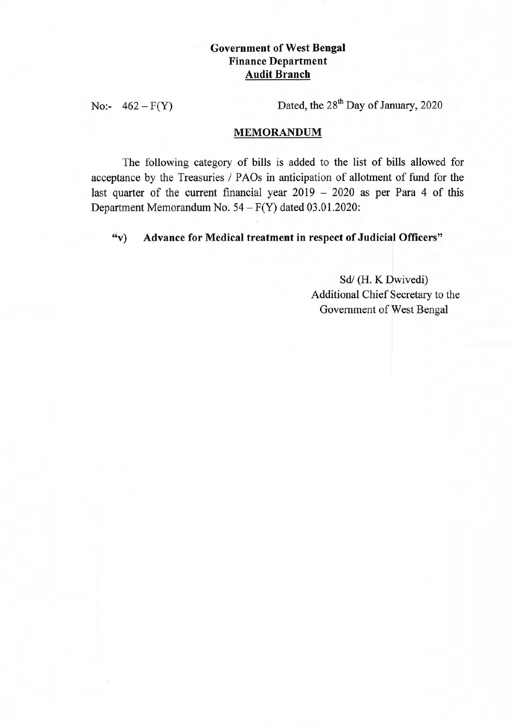## **Government of West Bengal Finance Department Audit Branch**

No:-  $462 - F(Y)$  Dated, the  $28<sup>th</sup>$  Day of January, 2020

## **MEMORANDUM**

The following category of bills is added to the list of bills allowed for acceptance by the Treasuries / PAOs in anticipation of allotment of fund for the last quarter of the current financial year  $2019 - 2020$  as per Para 4 of this Department Memorandum No.  $54 - F(Y)$  dated 03.01.2020:

**"v) Advance for Medical treatment in respect of Judicial Officers"** 

Sd/ (H. K Dwivedi) Additional Chief Secretary to the Government of West Bengal